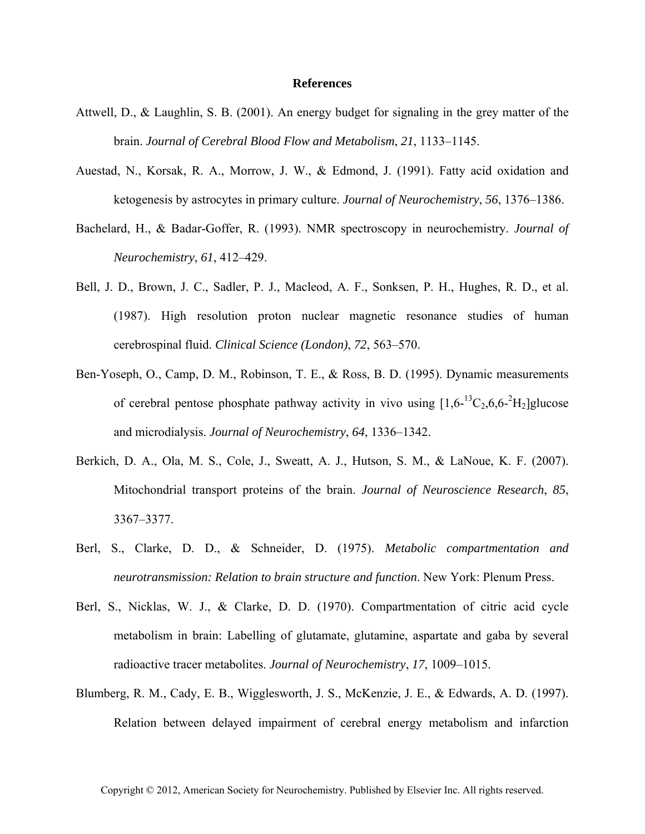## **References**

- Attwell, D., & Laughlin, S. B. (2001). An energy budget for signaling in the grey matter of the brain. *Journal of Cerebral Blood Flow and Metabolism*, *21*, 1133–1145.
- Auestad, N., Korsak, R. A., Morrow, J. W., & Edmond, J. (1991). Fatty acid oxidation and ketogenesis by astrocytes in primary culture. *Journal of Neurochemistry*, *56*, 1376–1386.
- Bachelard, H., & Badar-Goffer, R. (1993). NMR spectroscopy in neurochemistry. *Journal of Neurochemistry*, *61*, 412–429.
- Bell, J. D., Brown, J. C., Sadler, P. J., Macleod, A. F., Sonksen, P. H., Hughes, R. D., et al. (1987). High resolution proton nuclear magnetic resonance studies of human cerebrospinal fluid. *Clinical Science (London)*, *72*, 563–570.
- Ben-Yoseph, O., Camp, D. M., Robinson, T. E., & Ross, B. D. (1995). Dynamic measurements of cerebral pentose phosphate pathway activity in vivo using  $[1,6^{-13}C_2,6,6^{-2}H_2]$ glucose and microdialysis. *Journal of Neurochemistry*, *64*, 1336–1342.
- Berkich, D. A., Ola, M. S., Cole, J., Sweatt, A. J., Hutson, S. M., & LaNoue, K. F. (2007). Mitochondrial transport proteins of the brain. *Journal of Neuroscience Research*, *85*, 3367–3377.
- Berl, S., Clarke, D. D., & Schneider, D. (1975). *Metabolic compartmentation and neurotransmission: Relation to brain structure and function*. New York: Plenum Press.
- Berl, S., Nicklas, W. J., & Clarke, D. D. (1970). Compartmentation of citric acid cycle metabolism in brain: Labelling of glutamate, glutamine, aspartate and gaba by several radioactive tracer metabolites. *Journal of Neurochemistry*, *17*, 1009–1015.
- Blumberg, R. M., Cady, E. B., Wigglesworth, J. S., McKenzie, J. E., & Edwards, A. D. (1997). Relation between delayed impairment of cerebral energy metabolism and infarction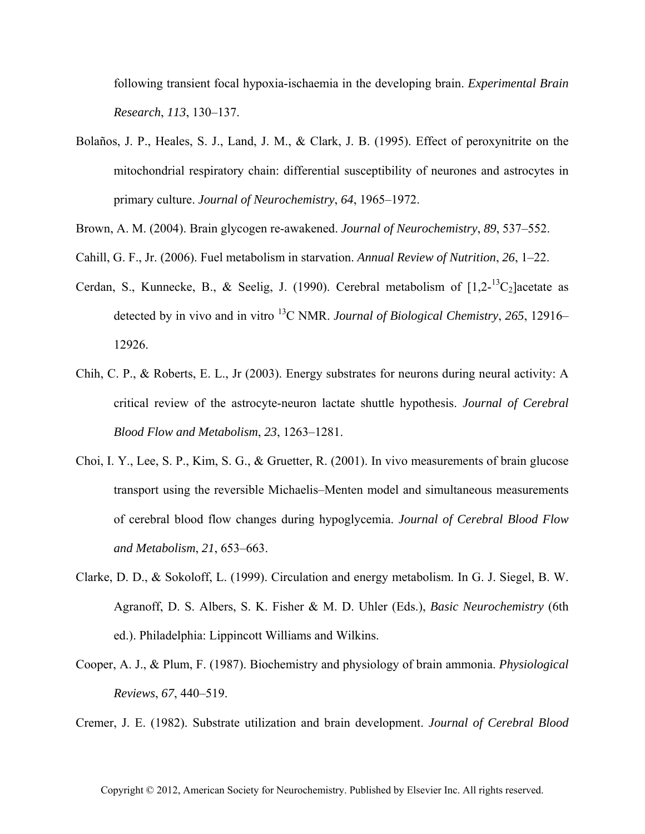following transient focal hypoxia-ischaemia in the developing brain. *Experimental Brain Research*, *113*, 130–137.

- Bolaños, J. P., Heales, S. J., Land, J. M., & Clark, J. B. (1995). Effect of peroxynitrite on the mitochondrial respiratory chain: differential susceptibility of neurones and astrocytes in primary culture. *Journal of Neurochemistry*, *64*, 1965–1972.
- Brown, A. M. (2004). Brain glycogen re-awakened. *Journal of Neurochemistry*, *89*, 537–552.
- Cahill, G. F., Jr. (2006). Fuel metabolism in starvation. *Annual Review of Nutrition*, *26*, 1–22.
- Cerdan, S., Kunnecke, B., & Seelig, J. (1990). Cerebral metabolism of  $[1,2^{-13}C_2]$ acetate as detected by in vivo and in vitro 13C NMR. *Journal of Biological Chemistry*, *265*, 12916– 12926.
- Chih, C. P., & Roberts, E. L., Jr (2003). Energy substrates for neurons during neural activity: A critical review of the astrocyte-neuron lactate shuttle hypothesis. *Journal of Cerebral Blood Flow and Metabolism*, *23*, 1263–1281.
- Choi, I. Y., Lee, S. P., Kim, S. G., & Gruetter, R. (2001). In vivo measurements of brain glucose transport using the reversible Michaelis–Menten model and simultaneous measurements of cerebral blood flow changes during hypoglycemia. *Journal of Cerebral Blood Flow and Metabolism*, *21*, 653–663.
- Clarke, D. D., & Sokoloff, L. (1999). Circulation and energy metabolism. In G. J. Siegel, B. W. Agranoff, D. S. Albers, S. K. Fisher & M. D. Uhler (Eds.), *Basic Neurochemistry* (6th ed.). Philadelphia: Lippincott Williams and Wilkins.
- Cooper, A. J., & Plum, F. (1987). Biochemistry and physiology of brain ammonia. *Physiological Reviews*, *67*, 440–519.

Cremer, J. E. (1982). Substrate utilization and brain development. *Journal of Cerebral Blood*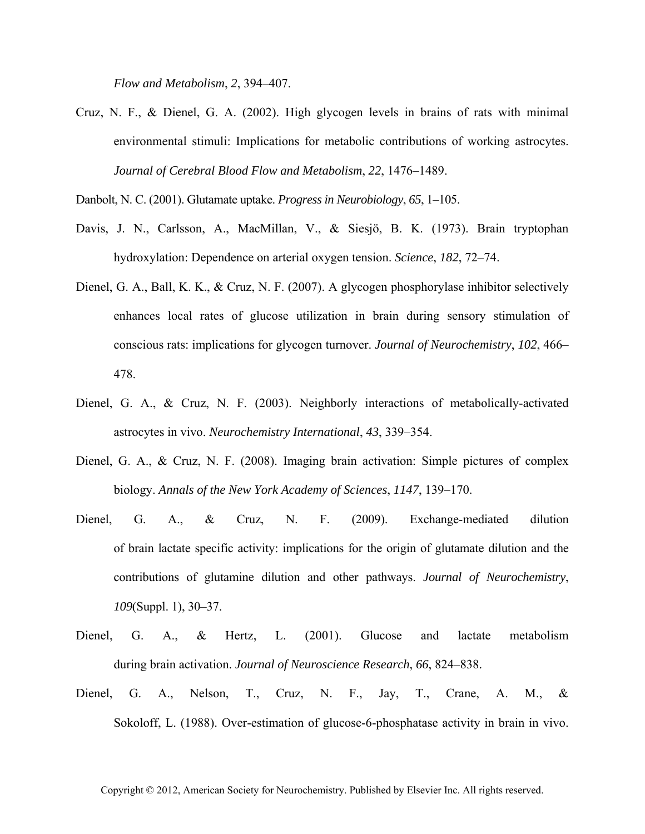*Flow and Metabolism*, *2*, 394–407.

Cruz, N. F., & Dienel, G. A. (2002). High glycogen levels in brains of rats with minimal environmental stimuli: Implications for metabolic contributions of working astrocytes. *Journal of Cerebral Blood Flow and Metabolism*, *22*, 1476–1489.

Danbolt, N. C. (2001). Glutamate uptake. *Progress in Neurobiology*, *65*, 1–105.

- Davis, J. N., Carlsson, A., MacMillan, V., & Siesjö, B. K. (1973). Brain tryptophan hydroxylation: Dependence on arterial oxygen tension. *Science*, *182*, 72–74.
- Dienel, G. A., Ball, K. K., & Cruz, N. F. (2007). A glycogen phosphorylase inhibitor selectively enhances local rates of glucose utilization in brain during sensory stimulation of conscious rats: implications for glycogen turnover. *Journal of Neurochemistry*, *102*, 466– 478.
- Dienel, G. A., & Cruz, N. F. (2003). Neighborly interactions of metabolically-activated astrocytes in vivo. *Neurochemistry International*, *43*, 339–354.
- Dienel, G. A., & Cruz, N. F. (2008). Imaging brain activation: Simple pictures of complex biology. *Annals of the New York Academy of Sciences*, *1147*, 139–170.
- Dienel, G. A., & Cruz, N. F. (2009). Exchange-mediated dilution of brain lactate specific activity: implications for the origin of glutamate dilution and the contributions of glutamine dilution and other pathways. *Journal of Neurochemistry*, *109*(Suppl. 1), 30–37.
- Dienel, G. A., & Hertz, L. (2001). Glucose and lactate metabolism during brain activation. *Journal of Neuroscience Research*, *66*, 824–838.
- Dienel, G. A., Nelson, T., Cruz, N. F., Jay, T., Crane, A. M., & Sokoloff, L. (1988). Over-estimation of glucose-6-phosphatase activity in brain in vivo.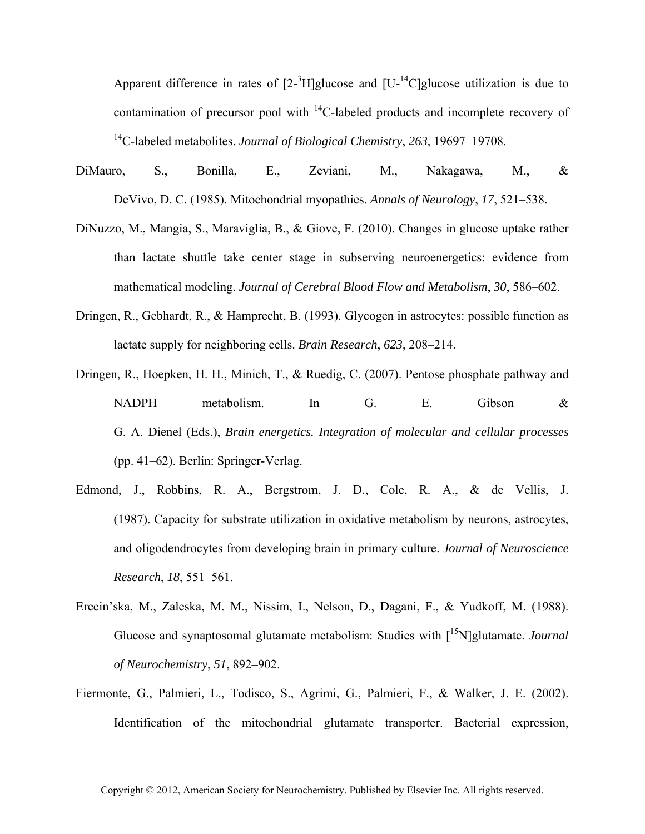Apparent difference in rates of  $[2^{-3}H]$ glucose and  $[U^{-14}C]$ glucose utilization is due to contamination of precursor pool with  $^{14}$ C-labeled products and incomplete recovery of 14C-labeled metabolites. *Journal of Biological Chemistry*, *263*, 19697–19708.

- DiMauro, S., Bonilla, E., Zeviani, M., Nakagawa, M., & DeVivo, D. C. (1985). Mitochondrial myopathies. *Annals of Neurology*, *17*, 521–538.
- DiNuzzo, M., Mangia, S., Maraviglia, B., & Giove, F. (2010). Changes in glucose uptake rather than lactate shuttle take center stage in subserving neuroenergetics: evidence from mathematical modeling. *Journal of Cerebral Blood Flow and Metabolism*, *30*, 586–602.
- Dringen, R., Gebhardt, R., & Hamprecht, B. (1993). Glycogen in astrocytes: possible function as lactate supply for neighboring cells. *Brain Research*, *623*, 208–214.
- Dringen, R., Hoepken, H. H., Minich, T., & Ruedig, C. (2007). Pentose phosphate pathway and NADPH metabolism. In G. E. Gibson & G. A. Dienel (Eds.), *Brain energetics. Integration of molecular and cellular processes* (pp. 41–62). Berlin: Springer-Verlag.
- Edmond, J., Robbins, R. A., Bergstrom, J. D., Cole, R. A., & de Vellis, J. (1987). Capacity for substrate utilization in oxidative metabolism by neurons, astrocytes, and oligodendrocytes from developing brain in primary culture. *Journal of Neuroscience Research*, *18*, 551–561.
- Erecin'ska, M., Zaleska, M. M., Nissim, I., Nelson, D., Dagani, F., & Yudkoff, M. (1988). Glucose and synaptosomal glutamate metabolism: Studies with [15N]glutamate. *Journal of Neurochemistry*, *51*, 892–902.
- Fiermonte, G., Palmieri, L., Todisco, S., Agrimi, G., Palmieri, F., & Walker, J. E. (2002). Identification of the mitochondrial glutamate transporter. Bacterial expression,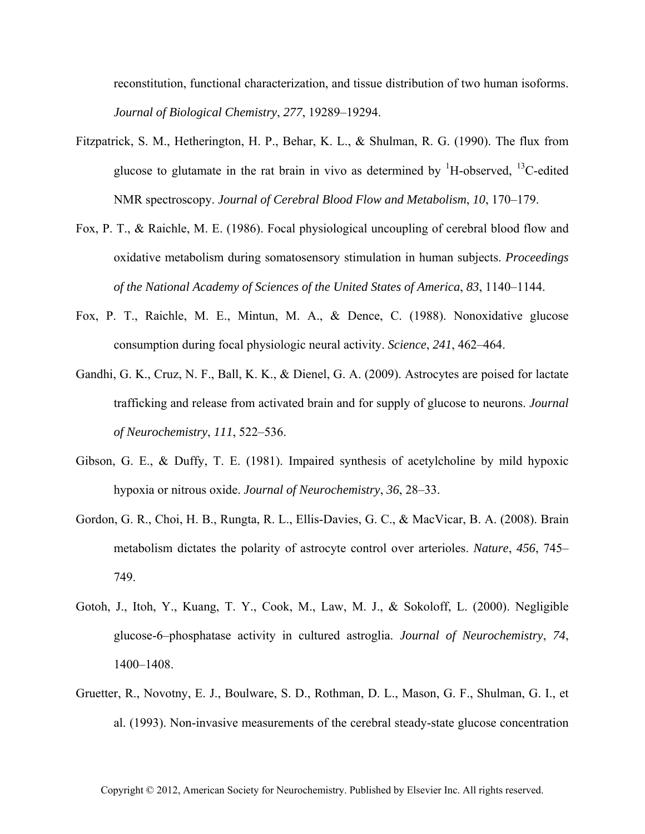reconstitution, functional characterization, and tissue distribution of two human isoforms. *Journal of Biological Chemistry*, *277*, 19289–19294.

- Fitzpatrick, S. M., Hetherington, H. P., Behar, K. L., & Shulman, R. G. (1990). The flux from glucose to glutamate in the rat brain in vivo as determined by  $\rm{^{1}H\text{-}observed,~^{13}C\text{-}edited}$ NMR spectroscopy. *Journal of Cerebral Blood Flow and Metabolism*, *10*, 170–179.
- Fox, P. T., & Raichle, M. E. (1986). Focal physiological uncoupling of cerebral blood flow and oxidative metabolism during somatosensory stimulation in human subjects. *Proceedings of the National Academy of Sciences of the United States of America*, *83*, 1140–1144.
- Fox, P. T., Raichle, M. E., Mintun, M. A., & Dence, C. (1988). Nonoxidative glucose consumption during focal physiologic neural activity. *Science*, *241*, 462–464.
- Gandhi, G. K., Cruz, N. F., Ball, K. K., & Dienel, G. A. (2009). Astrocytes are poised for lactate trafficking and release from activated brain and for supply of glucose to neurons. *Journal of Neurochemistry*, *111*, 522–536.
- Gibson, G. E., & Duffy, T. E. (1981). Impaired synthesis of acetylcholine by mild hypoxic hypoxia or nitrous oxide. *Journal of Neurochemistry*, *36*, 28–33.
- Gordon, G. R., Choi, H. B., Rungta, R. L., Ellis-Davies, G. C., & MacVicar, B. A. (2008). Brain metabolism dictates the polarity of astrocyte control over arterioles. *Nature*, *456*, 745– 749.
- Gotoh, J., Itoh, Y., Kuang, T. Y., Cook, M., Law, M. J., & Sokoloff, L. (2000). Negligible glucose-6–phosphatase activity in cultured astroglia. *Journal of Neurochemistry*, *74*, 1400–1408.
- Gruetter, R., Novotny, E. J., Boulware, S. D., Rothman, D. L., Mason, G. F., Shulman, G. I., et al. (1993). Non-invasive measurements of the cerebral steady-state glucose concentration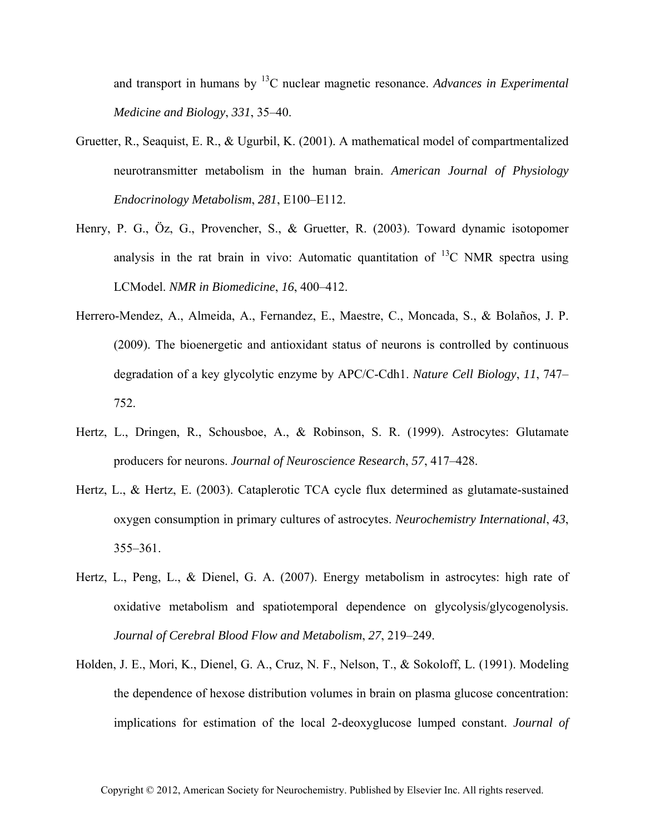and transport in humans by 13C nuclear magnetic resonance. *Advances in Experimental Medicine and Biology*, *331*, 35–40.

- Gruetter, R., Seaquist, E. R., & Ugurbil, K. (2001). A mathematical model of compartmentalized neurotransmitter metabolism in the human brain. *American Journal of Physiology Endocrinology Metabolism*, *281*, E100–E112.
- Henry, P. G., Öz, G., Provencher, S., & Gruetter, R. (2003). Toward dynamic isotopomer analysis in the rat brain in vivo: Automatic quantitation of  $^{13}$ C NMR spectra using LCModel. *NMR in Biomedicine*, *16*, 400–412.
- Herrero-Mendez, A., Almeida, A., Fernandez, E., Maestre, C., Moncada, S., & Bolaños, J. P. (2009). The bioenergetic and antioxidant status of neurons is controlled by continuous degradation of a key glycolytic enzyme by APC/C-Cdh1. *Nature Cell Biology*, *11*, 747– 752.
- Hertz, L., Dringen, R., Schousboe, A., & Robinson, S. R. (1999). Astrocytes: Glutamate producers for neurons. *Journal of Neuroscience Research*, *57*, 417–428.
- Hertz, L., & Hertz, E. (2003). Cataplerotic TCA cycle flux determined as glutamate-sustained oxygen consumption in primary cultures of astrocytes. *Neurochemistry International*, *43*, 355–361.
- Hertz, L., Peng, L., & Dienel, G. A. (2007). Energy metabolism in astrocytes: high rate of oxidative metabolism and spatiotemporal dependence on glycolysis/glycogenolysis. *Journal of Cerebral Blood Flow and Metabolism*, *27*, 219–249.
- Holden, J. E., Mori, K., Dienel, G. A., Cruz, N. F., Nelson, T., & Sokoloff, L. (1991). Modeling the dependence of hexose distribution volumes in brain on plasma glucose concentration: implications for estimation of the local 2-deoxyglucose lumped constant. *Journal of*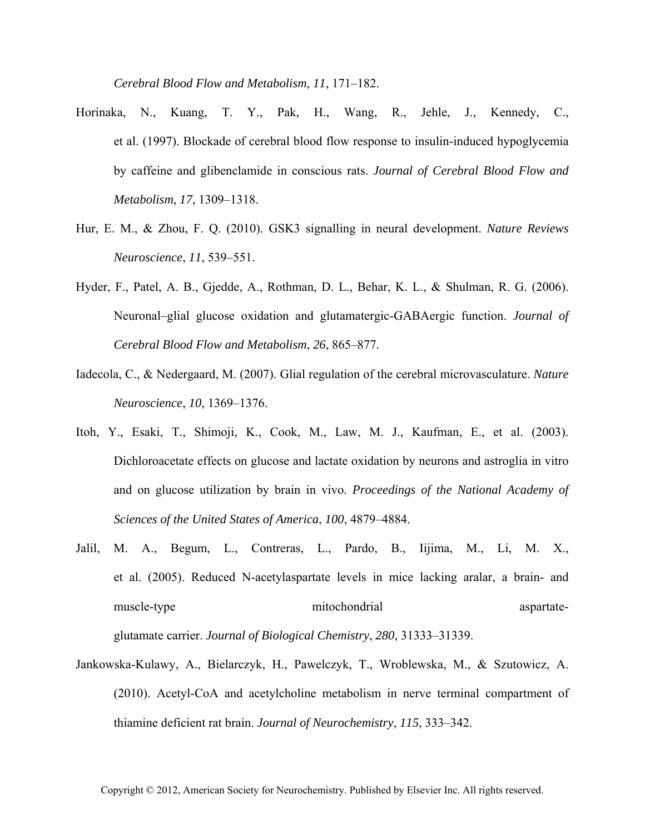*Cerebral Blood Flow and Metabolism*, *11*, 171–182.

- Horinaka, N., Kuang, T. Y., Pak, H., Wang, R., Jehle, J., Kennedy, C., et al. (1997). Blockade of cerebral blood flow response to insulin-induced hypoglycemia by caffeine and glibenclamide in conscious rats. *Journal of Cerebral Blood Flow and Metabolism*, *17*, 1309–1318.
- Hur, E. M., & Zhou, F. Q. (2010). GSK3 signalling in neural development. *Nature Reviews Neuroscience*, *11*, 539–551.
- Hyder, F., Patel, A. B., Gjedde, A., Rothman, D. L., Behar, K. L., & Shulman, R. G. (2006). Neuronal–glial glucose oxidation and glutamatergic-GABAergic function. *Journal of Cerebral Blood Flow and Metabolism*, *26*, 865–877.
- Iadecola, C., & Nedergaard, M. (2007). Glial regulation of the cerebral microvasculature. *Nature Neuroscience*, *10*, 1369–1376.
- Itoh, Y., Esaki, T., Shimoji, K., Cook, M., Law, M. J., Kaufman, E., et al. (2003). Dichloroacetate effects on glucose and lactate oxidation by neurons and astroglia in vitro and on glucose utilization by brain in vivo. *Proceedings of the National Academy of Sciences of the United States of America*, *100*, 4879–4884.
- Jalil, M. A., Begum, L., Contreras, L., Pardo, B., Iijima, M., Li, M. X., et al. (2005). Reduced N-acetylaspartate levels in mice lacking aralar, a brain- and muscle-type mitochondrial aspartate-

glutamate carrier. *Journal of Biological Chemistry*, *280*, 31333–31339.

Jankowska-Kulawy, A., Bielarczyk, H., Pawelczyk, T., Wroblewska, M., & Szutowicz, A. (2010). Acetyl-CoA and acetylcholine metabolism in nerve terminal compartment of thiamine deficient rat brain. *Journal of Neurochemistry*, *115*, 333–342.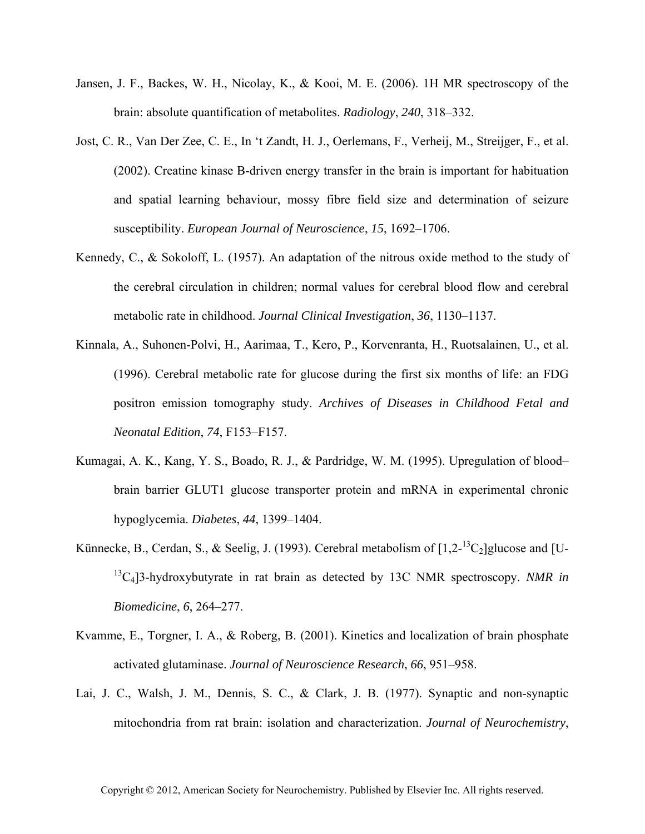- Jansen, J. F., Backes, W. H., Nicolay, K., & Kooi, M. E. (2006). 1H MR spectroscopy of the brain: absolute quantification of metabolites. *Radiology*, *240*, 318–332.
- Jost, C. R., Van Der Zee, C. E., In 't Zandt, H. J., Oerlemans, F., Verheij, M., Streijger, F., et al. (2002). Creatine kinase B-driven energy transfer in the brain is important for habituation and spatial learning behaviour, mossy fibre field size and determination of seizure susceptibility. *European Journal of Neuroscience*, *15*, 1692–1706.
- Kennedy, C., & Sokoloff, L. (1957). An adaptation of the nitrous oxide method to the study of the cerebral circulation in children; normal values for cerebral blood flow and cerebral metabolic rate in childhood. *Journal Clinical Investigation*, *36*, 1130–1137.
- Kinnala, A., Suhonen-Polvi, H., Aarimaa, T., Kero, P., Korvenranta, H., Ruotsalainen, U., et al. (1996). Cerebral metabolic rate for glucose during the first six months of life: an FDG positron emission tomography study. *Archives of Diseases in Childhood Fetal and Neonatal Edition*, *74*, F153–F157.
- Kumagai, A. K., Kang, Y. S., Boado, R. J., & Pardridge, W. M. (1995). Upregulation of blood– brain barrier GLUT1 glucose transporter protein and mRNA in experimental chronic hypoglycemia. *Diabetes*, *44*, 1399–1404.
- Künnecke, B., Cerdan, S., & Seelig, J. (1993). Cerebral metabolism of  $[1,2^{-13}C_2]$ glucose and [U-<sup>13</sup>C<sub>4</sub>]3-hydroxybutyrate in rat brain as detected by 13C NMR spectroscopy. *NMR in Biomedicine*, *6*, 264–277.
- Kvamme, E., Torgner, I. A., & Roberg, B. (2001). Kinetics and localization of brain phosphate activated glutaminase. *Journal of Neuroscience Research*, *66*, 951–958.
- Lai, J. C., Walsh, J. M., Dennis, S. C., & Clark, J. B. (1977). Synaptic and non-synaptic mitochondria from rat brain: isolation and characterization. *Journal of Neurochemistry*,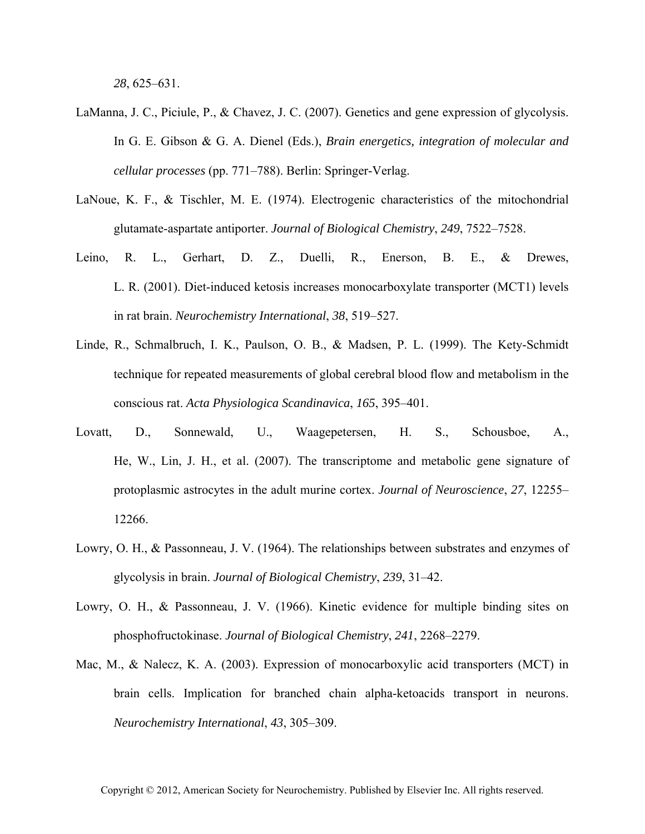*28*, 625–631.

- LaManna, J. C., Piciule, P., & Chavez, J. C. (2007). Genetics and gene expression of glycolysis. In G. E. Gibson & G. A. Dienel (Eds.), *Brain energetics, integration of molecular and cellular processes* (pp. 771–788). Berlin: Springer-Verlag.
- LaNoue, K. F., & Tischler, M. E. (1974). Electrogenic characteristics of the mitochondrial glutamate-aspartate antiporter. *Journal of Biological Chemistry*, *249*, 7522–7528.
- Leino, R. L., Gerhart, D. Z., Duelli, R., Enerson, B. E., & Drewes, L. R. (2001). Diet-induced ketosis increases monocarboxylate transporter (MCT1) levels in rat brain. *Neurochemistry International*, *38*, 519–527.
- Linde, R., Schmalbruch, I. K., Paulson, O. B., & Madsen, P. L. (1999). The Kety-Schmidt technique for repeated measurements of global cerebral blood flow and metabolism in the conscious rat. *Acta Physiologica Scandinavica*, *165*, 395–401.
- Lovatt, D., Sonnewald, U., Waagepetersen, H. S., Schousboe, A., He, W., Lin, J. H., et al. (2007). The transcriptome and metabolic gene signature of protoplasmic astrocytes in the adult murine cortex. *Journal of Neuroscience*, *27*, 12255– 12266.
- Lowry, O. H., & Passonneau, J. V. (1964). The relationships between substrates and enzymes of glycolysis in brain. *Journal of Biological Chemistry*, *239*, 31–42.
- Lowry, O. H., & Passonneau, J. V. (1966). Kinetic evidence for multiple binding sites on phosphofructokinase. *Journal of Biological Chemistry*, *241*, 2268–2279.
- Mac, M., & Nalecz, K. A. (2003). Expression of monocarboxylic acid transporters (MCT) in brain cells. Implication for branched chain alpha-ketoacids transport in neurons. *Neurochemistry International*, *43*, 305–309.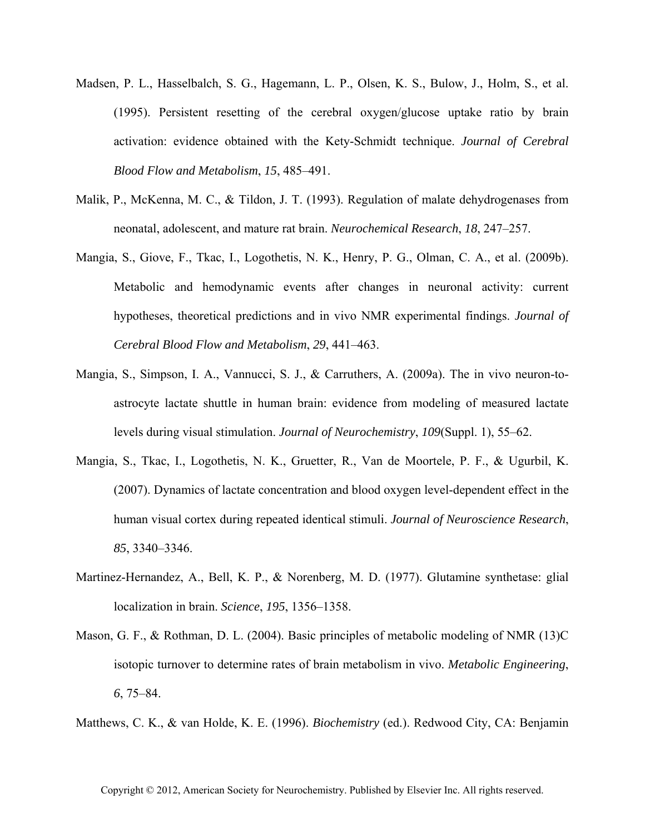- Madsen, P. L., Hasselbalch, S. G., Hagemann, L. P., Olsen, K. S., Bulow, J., Holm, S., et al. (1995). Persistent resetting of the cerebral oxygen/glucose uptake ratio by brain activation: evidence obtained with the Kety-Schmidt technique. *Journal of Cerebral Blood Flow and Metabolism*, *15*, 485–491.
- Malik, P., McKenna, M. C., & Tildon, J. T. (1993). Regulation of malate dehydrogenases from neonatal, adolescent, and mature rat brain. *Neurochemical Research*, *18*, 247–257.
- Mangia, S., Giove, F., Tkac, I., Logothetis, N. K., Henry, P. G., Olman, C. A., et al. (2009b). Metabolic and hemodynamic events after changes in neuronal activity: current hypotheses, theoretical predictions and in vivo NMR experimental findings. *Journal of Cerebral Blood Flow and Metabolism*, *29*, 441–463.
- Mangia, S., Simpson, I. A., Vannucci, S. J., & Carruthers, A. (2009a). The in vivo neuron-toastrocyte lactate shuttle in human brain: evidence from modeling of measured lactate levels during visual stimulation. *Journal of Neurochemistry*, *109*(Suppl. 1), 55–62.
- Mangia, S., Tkac, I., Logothetis, N. K., Gruetter, R., Van de Moortele, P. F., & Ugurbil, K. (2007). Dynamics of lactate concentration and blood oxygen level-dependent effect in the human visual cortex during repeated identical stimuli. *Journal of Neuroscience Research*, *85*, 3340–3346.
- Martinez-Hernandez, A., Bell, K. P., & Norenberg, M. D. (1977). Glutamine synthetase: glial localization in brain. *Science*, *195*, 1356–1358.
- Mason, G. F., & Rothman, D. L. (2004). Basic principles of metabolic modeling of NMR (13)C isotopic turnover to determine rates of brain metabolism in vivo. *Metabolic Engineering*, *6*, 75–84.

Matthews, C. K., & van Holde, K. E. (1996). *Biochemistry* (ed.). Redwood City, CA: Benjamin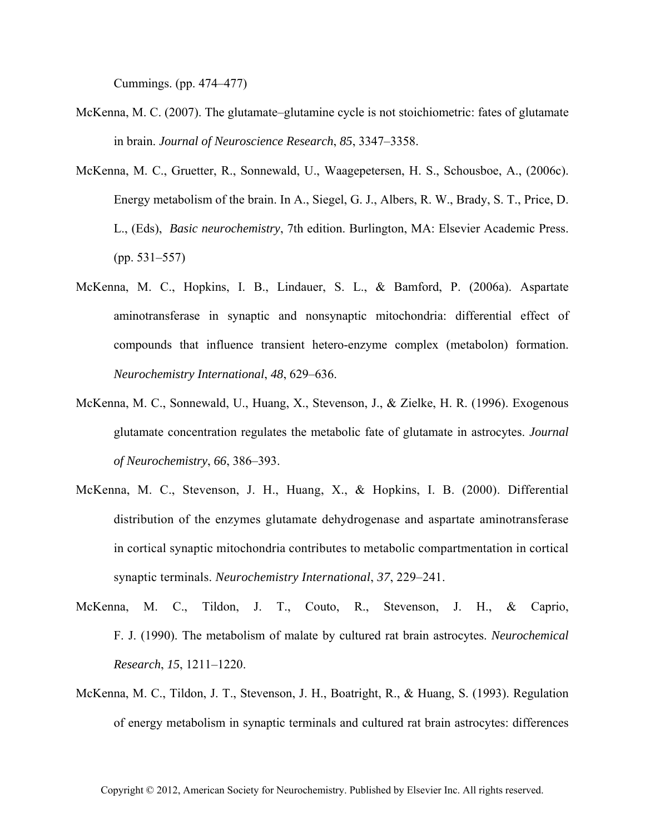Cummings. (pp. 474–477)

- McKenna, M. C. (2007). The glutamate–glutamine cycle is not stoichiometric: fates of glutamate in brain. *Journal of Neuroscience Research*, *85*, 3347–3358.
- McKenna, M. C., Gruetter, R., Sonnewald, U., Waagepetersen, H. S., Schousboe, A., (2006c). Energy metabolism of the brain. In A., Siegel, G. J., Albers, R. W., Brady, S. T., Price, D. L., (Eds), *Basic neurochemistry*, 7th edition. Burlington, MA: Elsevier Academic Press. (pp. 531–557)
- McKenna, M. C., Hopkins, I. B., Lindauer, S. L., & Bamford, P. (2006a). Aspartate aminotransferase in synaptic and nonsynaptic mitochondria: differential effect of compounds that influence transient hetero-enzyme complex (metabolon) formation. *Neurochemistry International*, *48*, 629–636.
- McKenna, M. C., Sonnewald, U., Huang, X., Stevenson, J., & Zielke, H. R. (1996). Exogenous glutamate concentration regulates the metabolic fate of glutamate in astrocytes. *Journal of Neurochemistry*, *66*, 386–393.
- McKenna, M. C., Stevenson, J. H., Huang, X., & Hopkins, I. B. (2000). Differential distribution of the enzymes glutamate dehydrogenase and aspartate aminotransferase in cortical synaptic mitochondria contributes to metabolic compartmentation in cortical synaptic terminals. *Neurochemistry International*, *37*, 229–241.
- McKenna, M. C., Tildon, J. T., Couto, R., Stevenson, J. H., & Caprio, F. J. (1990). The metabolism of malate by cultured rat brain astrocytes. *Neurochemical Research*, *15*, 1211–1220.
- McKenna, M. C., Tildon, J. T., Stevenson, J. H., Boatright, R., & Huang, S. (1993). Regulation of energy metabolism in synaptic terminals and cultured rat brain astrocytes: differences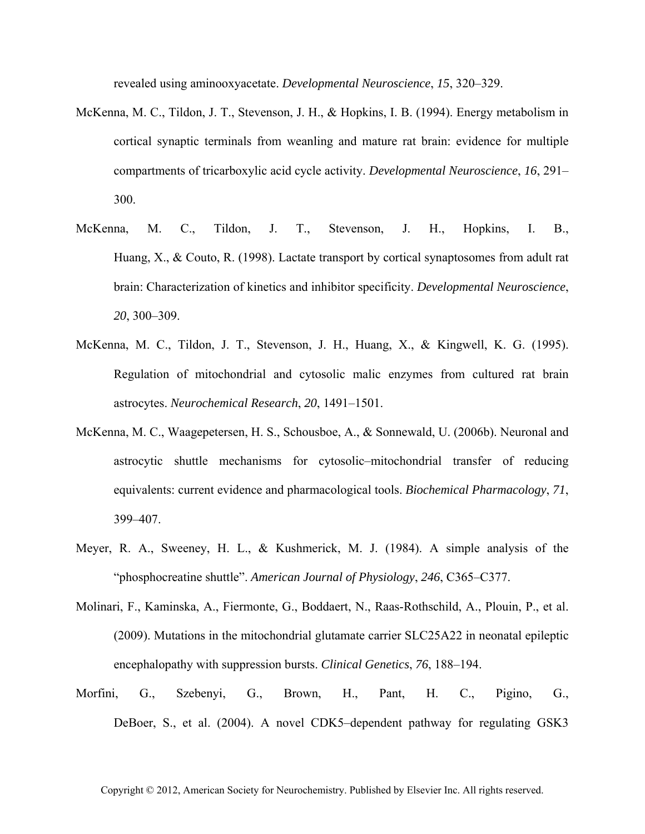revealed using aminooxyacetate. *Developmental Neuroscience*, *15*, 320–329.

- McKenna, M. C., Tildon, J. T., Stevenson, J. H., & Hopkins, I. B. (1994). Energy metabolism in cortical synaptic terminals from weanling and mature rat brain: evidence for multiple compartments of tricarboxylic acid cycle activity. *Developmental Neuroscience*, *16*, 291– 300.
- McKenna, M. C., Tildon, J. T., Stevenson, J. H., Hopkins, I. B., Huang, X., & Couto, R. (1998). Lactate transport by cortical synaptosomes from adult rat brain: Characterization of kinetics and inhibitor specificity. *Developmental Neuroscience*, *20*, 300–309.
- McKenna, M. C., Tildon, J. T., Stevenson, J. H., Huang, X., & Kingwell, K. G. (1995). Regulation of mitochondrial and cytosolic malic enzymes from cultured rat brain astrocytes. *Neurochemical Research*, *20*, 1491–1501.
- McKenna, M. C., Waagepetersen, H. S., Schousboe, A., & Sonnewald, U. (2006b). Neuronal and astrocytic shuttle mechanisms for cytosolic–mitochondrial transfer of reducing equivalents: current evidence and pharmacological tools. *Biochemical Pharmacology*, *71*, 399–407.
- Meyer, R. A., Sweeney, H. L., & Kushmerick, M. J. (1984). A simple analysis of the "phosphocreatine shuttle". *American Journal of Physiology*, *246*, C365–C377.
- Molinari, F., Kaminska, A., Fiermonte, G., Boddaert, N., Raas-Rothschild, A., Plouin, P., et al. (2009). Mutations in the mitochondrial glutamate carrier SLC25A22 in neonatal epileptic encephalopathy with suppression bursts. *Clinical Genetics*, *76*, 188–194.
- Morfini, G., Szebenyi, G., Brown, H., Pant, H. C., Pigino, G., DeBoer, S., et al. (2004). A novel CDK5–dependent pathway for regulating GSK3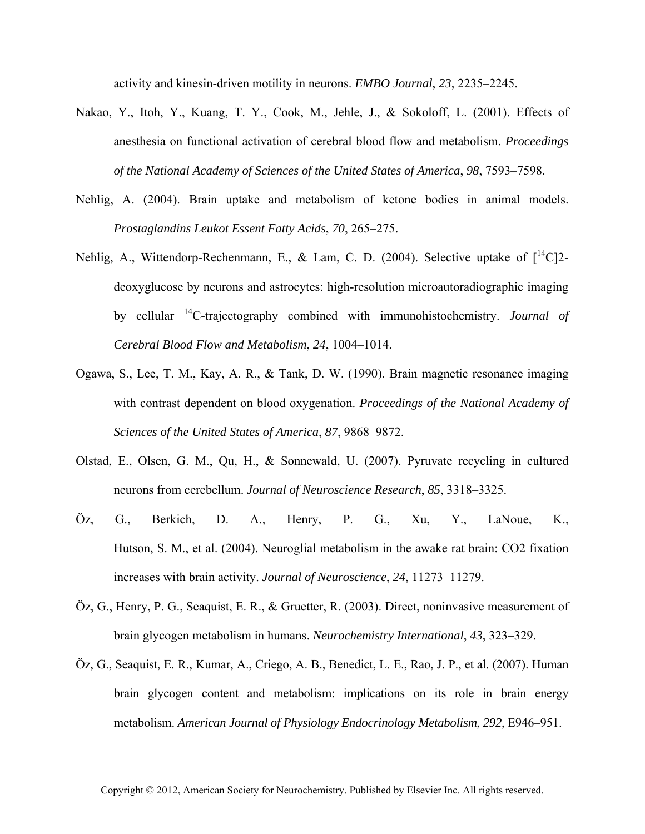activity and kinesin-driven motility in neurons. *EMBO Journal*, *23*, 2235–2245.

- Nakao, Y., Itoh, Y., Kuang, T. Y., Cook, M., Jehle, J., & Sokoloff, L. (2001). Effects of anesthesia on functional activation of cerebral blood flow and metabolism. *Proceedings of the National Academy of Sciences of the United States of America*, *98*, 7593–7598.
- Nehlig, A. (2004). Brain uptake and metabolism of ketone bodies in animal models. *Prostaglandins Leukot Essent Fatty Acids*, *70*, 265–275.
- Nehlig, A., Wittendorp-Rechenmann, E., & Lam, C. D. (2004). Selective uptake of  $\int_1^{14}C_1^2$ deoxyglucose by neurons and astrocytes: high-resolution microautoradiographic imaging by cellular 14C-trajectography combined with immunohistochemistry. *Journal of Cerebral Blood Flow and Metabolism*, *24*, 1004–1014.
- Ogawa, S., Lee, T. M., Kay, A. R., & Tank, D. W. (1990). Brain magnetic resonance imaging with contrast dependent on blood oxygenation. *Proceedings of the National Academy of Sciences of the United States of America*, *87*, 9868–9872.
- Olstad, E., Olsen, G. M., Qu, H., & Sonnewald, U. (2007). Pyruvate recycling in cultured neurons from cerebellum. *Journal of Neuroscience Research*, *85*, 3318–3325.
- Öz, G., Berkich, D. A., Henry, P. G., Xu, Y., LaNoue, K., Hutson, S. M., et al. (2004). Neuroglial metabolism in the awake rat brain: CO2 fixation increases with brain activity. *Journal of Neuroscience*, *24*, 11273–11279.
- Öz, G., Henry, P. G., Seaquist, E. R., & Gruetter, R. (2003). Direct, noninvasive measurement of brain glycogen metabolism in humans. *Neurochemistry International*, *43*, 323–329.
- Öz, G., Seaquist, E. R., Kumar, A., Criego, A. B., Benedict, L. E., Rao, J. P., et al. (2007). Human brain glycogen content and metabolism: implications on its role in brain energy metabolism. *American Journal of Physiology Endocrinology Metabolism*, *292*, E946–951.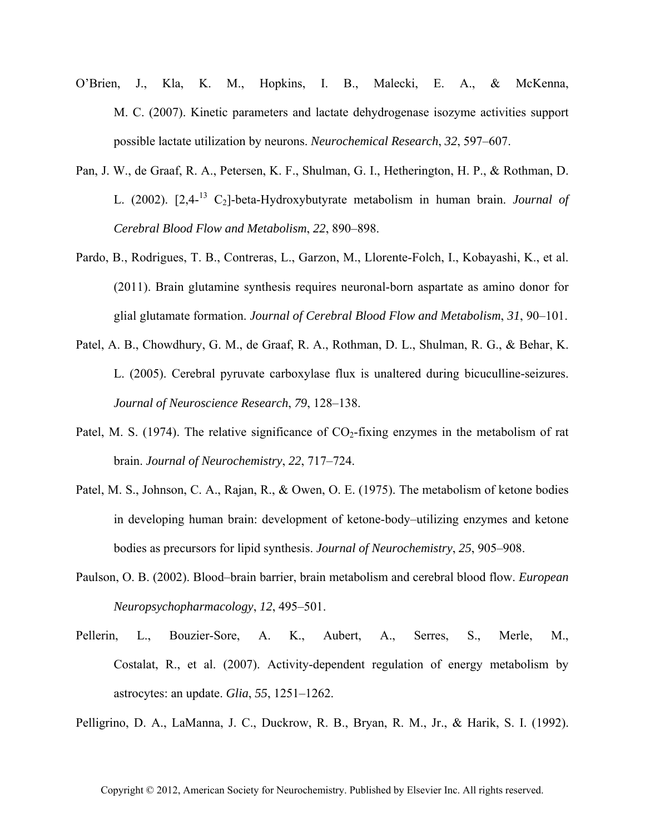- O'Brien, J., Kla, K. M., Hopkins, I. B., Malecki, E. A., & McKenna, M. C. (2007). Kinetic parameters and lactate dehydrogenase isozyme activities support possible lactate utilization by neurons. *Neurochemical Research*, *32*, 597–607.
- Pan, J. W., de Graaf, R. A., Petersen, K. F., Shulman, G. I., Hetherington, H. P., & Rothman, D. L. (2002). [2,4-13 C2]-beta-Hydroxybutyrate metabolism in human brain. *Journal of Cerebral Blood Flow and Metabolism*, *22*, 890–898.
- Pardo, B., Rodrigues, T. B., Contreras, L., Garzon, M., Llorente-Folch, I., Kobayashi, K., et al. (2011). Brain glutamine synthesis requires neuronal-born aspartate as amino donor for glial glutamate formation. *Journal of Cerebral Blood Flow and Metabolism*, *31*, 90–101.
- Patel, A. B., Chowdhury, G. M., de Graaf, R. A., Rothman, D. L., Shulman, R. G., & Behar, K. L. (2005). Cerebral pyruvate carboxylase flux is unaltered during bicuculline-seizures. *Journal of Neuroscience Research*, *79*, 128–138.
- Patel, M. S. (1974). The relative significance of  $CO<sub>2</sub>$ -fixing enzymes in the metabolism of rat brain. *Journal of Neurochemistry*, *22*, 717–724.
- Patel, M. S., Johnson, C. A., Rajan, R., & Owen, O. E. (1975). The metabolism of ketone bodies in developing human brain: development of ketone-body–utilizing enzymes and ketone bodies as precursors for lipid synthesis. *Journal of Neurochemistry*, *25*, 905–908.
- Paulson, O. B. (2002). Blood–brain barrier, brain metabolism and cerebral blood flow. *European Neuropsychopharmacology*, *12*, 495–501.
- Pellerin, L., Bouzier-Sore, A. K., Aubert, A., Serres, S., Merle, M., Costalat, R., et al. (2007). Activity-dependent regulation of energy metabolism by astrocytes: an update. *Glia*, *55*, 1251–1262.

Pelligrino, D. A., LaManna, J. C., Duckrow, R. B., Bryan, R. M., Jr., & Harik, S. I. (1992).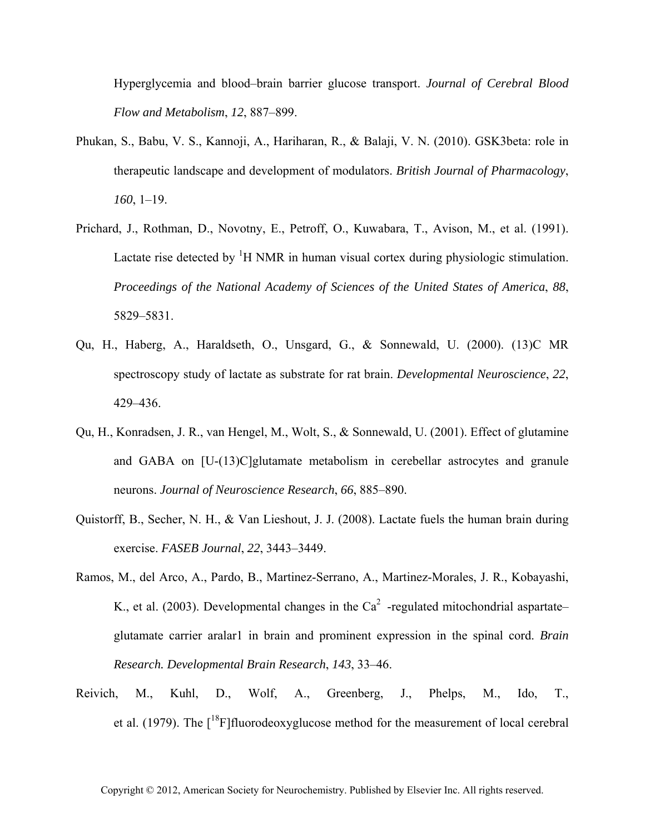Hyperglycemia and blood–brain barrier glucose transport. *Journal of Cerebral Blood Flow and Metabolism*, *12*, 887–899.

- Phukan, S., Babu, V. S., Kannoji, A., Hariharan, R., & Balaji, V. N. (2010). GSK3beta: role in therapeutic landscape and development of modulators. *British Journal of Pharmacology*, *160*, 1–19.
- Prichard, J., Rothman, D., Novotny, E., Petroff, O., Kuwabara, T., Avison, M., et al. (1991). Lactate rise detected by  ${}^{1}H$  NMR in human visual cortex during physiologic stimulation. *Proceedings of the National Academy of Sciences of the United States of America*, *88*, 5829–5831.
- Qu, H., Haberg, A., Haraldseth, O., Unsgard, G., & Sonnewald, U. (2000). (13)C MR spectroscopy study of lactate as substrate for rat brain. *Developmental Neuroscience*, *22*, 429–436.
- Qu, H., Konradsen, J. R., van Hengel, M., Wolt, S., & Sonnewald, U. (2001). Effect of glutamine and GABA on [U-(13)C]glutamate metabolism in cerebellar astrocytes and granule neurons. *Journal of Neuroscience Research*, *66*, 885–890.
- Quistorff, B., Secher, N. H., & Van Lieshout, J. J. (2008). Lactate fuels the human brain during exercise. *FASEB Journal*, *22*, 3443–3449.
- Ramos, M., del Arco, A., Pardo, B., Martinez-Serrano, A., Martinez-Morales, J. R., Kobayashi, K., et al. (2003). Developmental changes in the  $Ca<sup>2</sup>$  -regulated mitochondrial aspartate– glutamate carrier aralar1 in brain and prominent expression in the spinal cord. *Brain Research. Developmental Brain Research*, *143*, 33–46.
- Reivich, M., Kuhl, D., Wolf, A., Greenberg, J., Phelps, M., Ido, T., et al. (1979). The  $\int_0^{18}F\int_0^8f\int_0^8f\left(\frac{1}{2}ar^2 + ar^2\right)dr$  for the measurement of local cerebral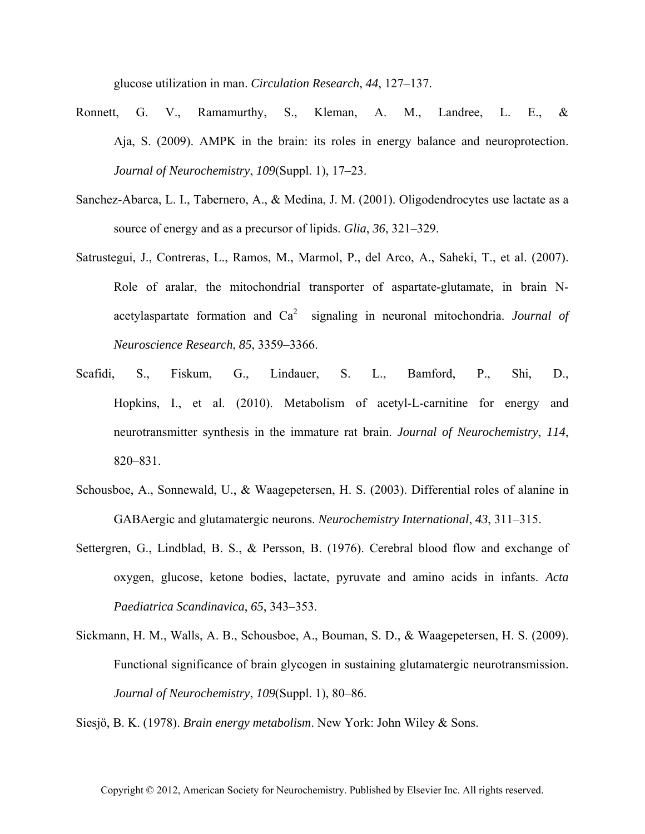glucose utilization in man. *Circulation Research*, *44*, 127–137.

- Ronnett, G. V., Ramamurthy, S., Kleman, A. M., Landree, L. E., & Aja, S. (2009). AMPK in the brain: its roles in energy balance and neuroprotection. *Journal of Neurochemistry*, *109*(Suppl. 1), 17–23.
- Sanchez-Abarca, L. I., Tabernero, A., & Medina, J. M. (2001). Oligodendrocytes use lactate as a source of energy and as a precursor of lipids. *Glia*, *36*, 321–329.
- Satrustegui, J., Contreras, L., Ramos, M., Marmol, P., del Arco, A., Saheki, T., et al. (2007). Role of aralar, the mitochondrial transporter of aspartate-glutamate, in brain Nacetylaspartate formation and  $Ca^2$  signaling in neuronal mitochondria. *Journal of Neuroscience Research*, *85*, 3359–3366.
- Scafidi, S., Fiskum, G., Lindauer, S. L., Bamford, P., Shi, D., Hopkins, I., et al. (2010). Metabolism of acetyl-L-carnitine for energy and neurotransmitter synthesis in the immature rat brain. *Journal of Neurochemistry*, *114*, 820–831.
- Schousboe, A., Sonnewald, U., & Waagepetersen, H. S. (2003). Differential roles of alanine in GABAergic and glutamatergic neurons. *Neurochemistry International*, *43*, 311–315.
- Settergren, G., Lindblad, B. S., & Persson, B. (1976). Cerebral blood flow and exchange of oxygen, glucose, ketone bodies, lactate, pyruvate and amino acids in infants. *Acta Paediatrica Scandinavica*, *65*, 343–353.
- Sickmann, H. M., Walls, A. B., Schousboe, A., Bouman, S. D., & Waagepetersen, H. S. (2009). Functional significance of brain glycogen in sustaining glutamatergic neurotransmission. *Journal of Neurochemistry*, *109*(Suppl. 1), 80–86.

Siesjö, B. K. (1978). *Brain energy metabolism*. New York: John Wiley & Sons.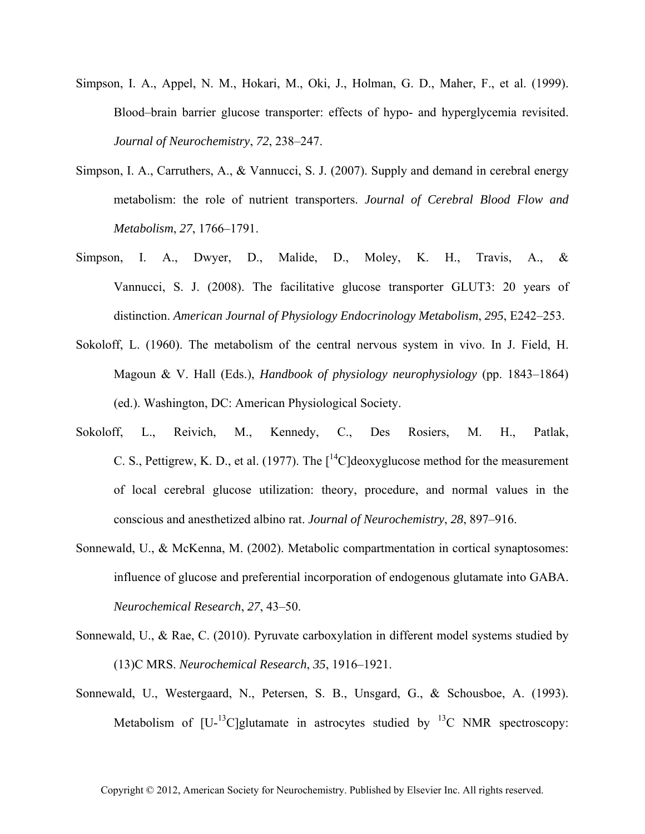- Simpson, I. A., Appel, N. M., Hokari, M., Oki, J., Holman, G. D., Maher, F., et al. (1999). Blood–brain barrier glucose transporter: effects of hypo- and hyperglycemia revisited. *Journal of Neurochemistry*, *72*, 238–247.
- Simpson, I. A., Carruthers, A., & Vannucci, S. J. (2007). Supply and demand in cerebral energy metabolism: the role of nutrient transporters. *Journal of Cerebral Blood Flow and Metabolism*, *27*, 1766–1791.
- Simpson, I. A., Dwyer, D., Malide, D., Moley, K. H., Travis, A., & Vannucci, S. J. (2008). The facilitative glucose transporter GLUT3: 20 years of distinction. *American Journal of Physiology Endocrinology Metabolism*, *295*, E242–253.
- Sokoloff, L. (1960). The metabolism of the central nervous system in vivo. In J. Field, H. Magoun & V. Hall (Eds.), *Handbook of physiology neurophysiology* (pp. 1843–1864) (ed.). Washington, DC: American Physiological Society.
- Sokoloff, L., Reivich, M., Kennedy, C., Des Rosiers, M. H., Patlak, C. S., Pettigrew, K. D., et al. (1977). The  $\int^{14}$ C deoxyglucose method for the measurement of local cerebral glucose utilization: theory, procedure, and normal values in the conscious and anesthetized albino rat. *Journal of Neurochemistry*, *28*, 897–916.
- Sonnewald, U., & McKenna, M. (2002). Metabolic compartmentation in cortical synaptosomes: influence of glucose and preferential incorporation of endogenous glutamate into GABA. *Neurochemical Research*, *27*, 43–50.
- Sonnewald, U., & Rae, C. (2010). Pyruvate carboxylation in different model systems studied by (13)C MRS. *Neurochemical Research*, *35*, 1916–1921.
- Sonnewald, U., Westergaard, N., Petersen, S. B., Unsgard, G., & Schousboe, A. (1993). Metabolism of  $[U^{-13}C]$ glutamate in astrocytes studied by  $^{13}C$  NMR spectroscopy: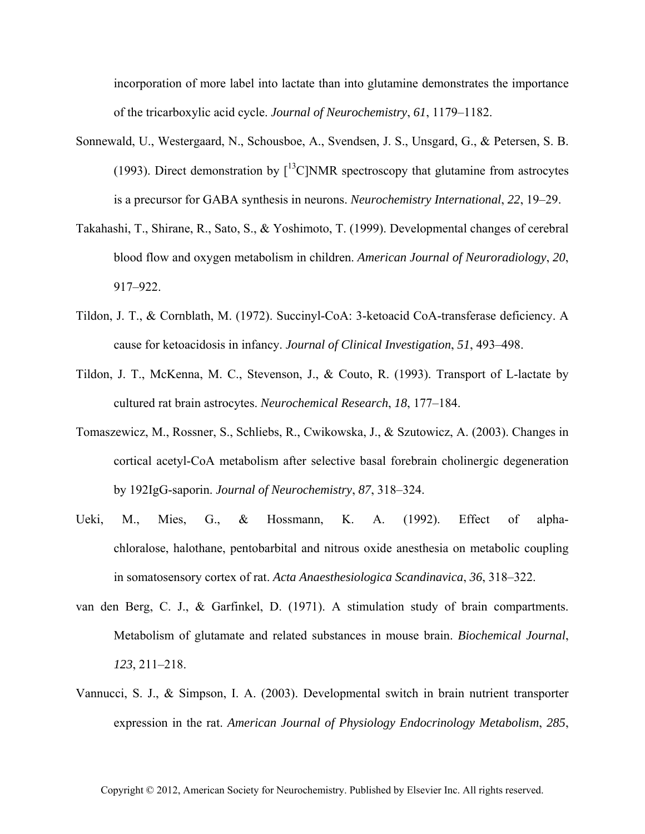incorporation of more label into lactate than into glutamine demonstrates the importance of the tricarboxylic acid cycle. *Journal of Neurochemistry*, *61*, 1179–1182.

- Sonnewald, U., Westergaard, N., Schousboe, A., Svendsen, J. S., Unsgard, G., & Petersen, S. B. (1993). Direct demonstration by  $\int^{13}$ C]NMR spectroscopy that glutamine from astrocytes is a precursor for GABA synthesis in neurons. *Neurochemistry International*, *22*, 19–29.
- Takahashi, T., Shirane, R., Sato, S., & Yoshimoto, T. (1999). Developmental changes of cerebral blood flow and oxygen metabolism in children. *American Journal of Neuroradiology*, *20*, 917–922.
- Tildon, J. T., & Cornblath, M. (1972). Succinyl-CoA: 3-ketoacid CoA-transferase deficiency. A cause for ketoacidosis in infancy. *Journal of Clinical Investigation*, *51*, 493–498.
- Tildon, J. T., McKenna, M. C., Stevenson, J., & Couto, R. (1993). Transport of L-lactate by cultured rat brain astrocytes. *Neurochemical Research*, *18*, 177–184.
- Tomaszewicz, M., Rossner, S., Schliebs, R., Cwikowska, J., & Szutowicz, A. (2003). Changes in cortical acetyl-CoA metabolism after selective basal forebrain cholinergic degeneration by 192IgG-saporin. *Journal of Neurochemistry*, *87*, 318–324.
- Ueki, M., Mies, G., & Hossmann, K. A. (1992). Effect of alphachloralose, halothane, pentobarbital and nitrous oxide anesthesia on metabolic coupling in somatosensory cortex of rat. *Acta Anaesthesiologica Scandinavica*, *36*, 318–322.
- van den Berg, C. J., & Garfinkel, D. (1971). A stimulation study of brain compartments. Metabolism of glutamate and related substances in mouse brain. *Biochemical Journal*, *123*, 211–218.
- Vannucci, S. J., & Simpson, I. A. (2003). Developmental switch in brain nutrient transporter expression in the rat. *American Journal of Physiology Endocrinology Metabolism*, *285*,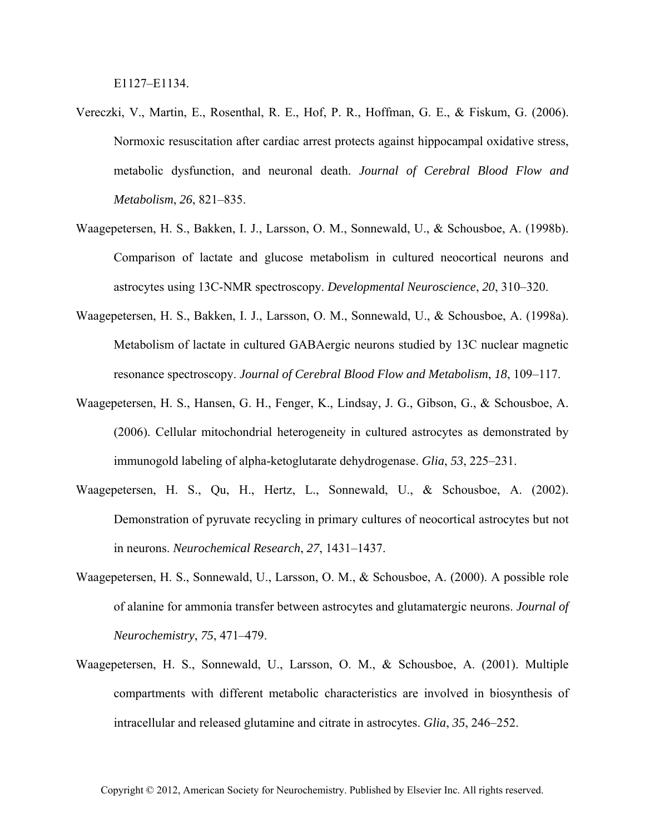E1127–E1134.

- Vereczki, V., Martin, E., Rosenthal, R. E., Hof, P. R., Hoffman, G. E., & Fiskum, G. (2006). Normoxic resuscitation after cardiac arrest protects against hippocampal oxidative stress, metabolic dysfunction, and neuronal death. *Journal of Cerebral Blood Flow and Metabolism*, *26*, 821–835.
- Waagepetersen, H. S., Bakken, I. J., Larsson, O. M., Sonnewald, U., & Schousboe, A. (1998b). Comparison of lactate and glucose metabolism in cultured neocortical neurons and astrocytes using 13C-NMR spectroscopy. *Developmental Neuroscience*, *20*, 310–320.
- Waagepetersen, H. S., Bakken, I. J., Larsson, O. M., Sonnewald, U., & Schousboe, A. (1998a). Metabolism of lactate in cultured GABAergic neurons studied by 13C nuclear magnetic resonance spectroscopy. *Journal of Cerebral Blood Flow and Metabolism*, *18*, 109–117.
- Waagepetersen, H. S., Hansen, G. H., Fenger, K., Lindsay, J. G., Gibson, G., & Schousboe, A. (2006). Cellular mitochondrial heterogeneity in cultured astrocytes as demonstrated by immunogold labeling of alpha-ketoglutarate dehydrogenase. *Glia*, *53*, 225–231.
- Waagepetersen, H. S., Qu, H., Hertz, L., Sonnewald, U., & Schousboe, A. (2002). Demonstration of pyruvate recycling in primary cultures of neocortical astrocytes but not in neurons. *Neurochemical Research*, *27*, 1431–1437.
- Waagepetersen, H. S., Sonnewald, U., Larsson, O. M., & Schousboe, A. (2000). A possible role of alanine for ammonia transfer between astrocytes and glutamatergic neurons. *Journal of Neurochemistry*, *75*, 471–479.
- Waagepetersen, H. S., Sonnewald, U., Larsson, O. M., & Schousboe, A. (2001). Multiple compartments with different metabolic characteristics are involved in biosynthesis of intracellular and released glutamine and citrate in astrocytes. *Glia*, *35*, 246–252.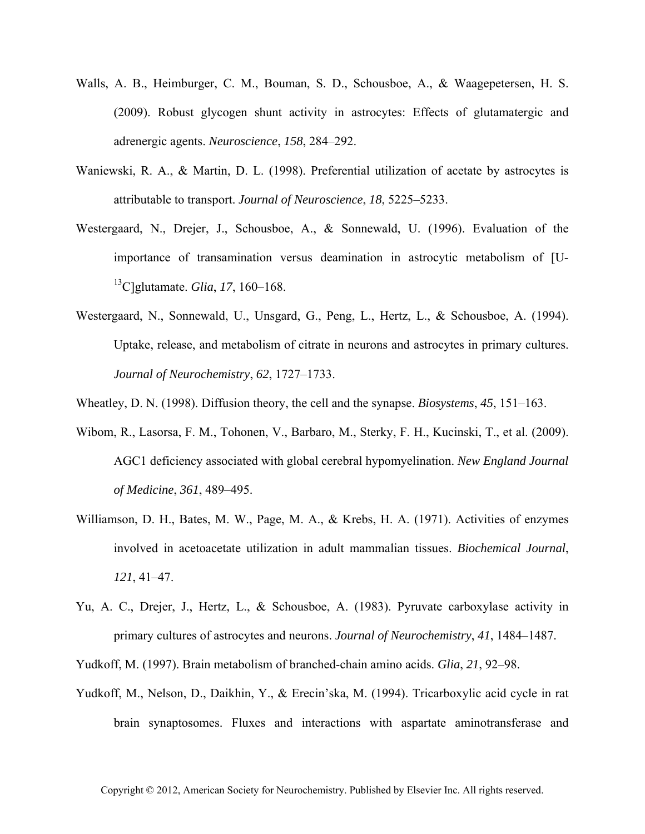- Walls, A. B., Heimburger, C. M., Bouman, S. D., Schousboe, A., & Waagepetersen, H. S. (2009). Robust glycogen shunt activity in astrocytes: Effects of glutamatergic and adrenergic agents. *Neuroscience*, *158*, 284–292.
- Waniewski, R. A., & Martin, D. L. (1998). Preferential utilization of acetate by astrocytes is attributable to transport. *Journal of Neuroscience*, *18*, 5225–5233.
- Westergaard, N., Drejer, J., Schousboe, A., & Sonnewald, U. (1996). Evaluation of the importance of transamination versus deamination in astrocytic metabolism of [U-13C]glutamate. *Glia*, *17*, 160–168.
- Westergaard, N., Sonnewald, U., Unsgard, G., Peng, L., Hertz, L., & Schousboe, A. (1994). Uptake, release, and metabolism of citrate in neurons and astrocytes in primary cultures. *Journal of Neurochemistry*, *62*, 1727–1733.
- Wheatley, D. N. (1998). Diffusion theory, the cell and the synapse. *Biosystems*, *45*, 151–163.
- Wibom, R., Lasorsa, F. M., Tohonen, V., Barbaro, M., Sterky, F. H., Kucinski, T., et al. (2009). AGC1 deficiency associated with global cerebral hypomyelination. *New England Journal of Medicine*, *361*, 489–495.
- Williamson, D. H., Bates, M. W., Page, M. A., & Krebs, H. A. (1971). Activities of enzymes involved in acetoacetate utilization in adult mammalian tissues. *Biochemical Journal*, *121*, 41–47.
- Yu, A. C., Drejer, J., Hertz, L., & Schousboe, A. (1983). Pyruvate carboxylase activity in primary cultures of astrocytes and neurons. *Journal of Neurochemistry*, *41*, 1484–1487.

Yudkoff, M. (1997). Brain metabolism of branched-chain amino acids. *Glia*, *21*, 92–98.

Yudkoff, M., Nelson, D., Daikhin, Y., & Erecin'ska, M. (1994). Tricarboxylic acid cycle in rat brain synaptosomes. Fluxes and interactions with aspartate aminotransferase and